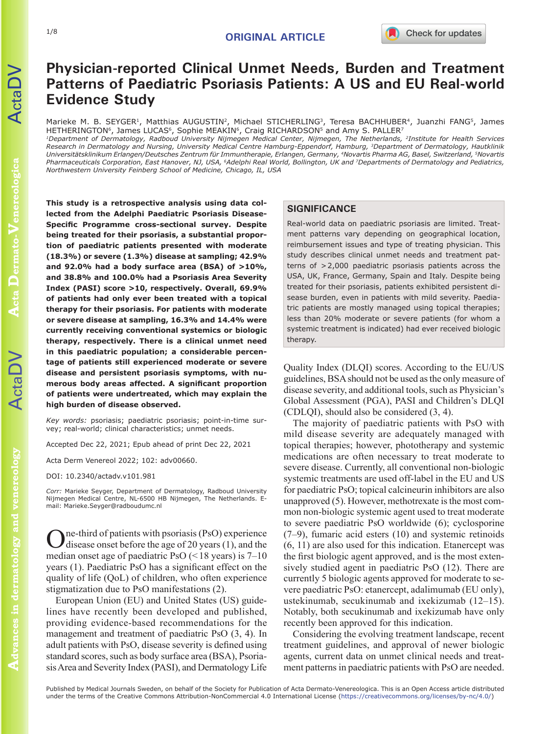# **Physician-reported Clinical Unmet Needs, Burden and Treatment Patterns of Paediatric Psoriasis Patients: A US and EU Real-world Evidence Study**

Marieke M. B. SEYGER<sup>1</sup>, Matthias AUGUSTIN<sup>2</sup>, Michael STICHERLING<sup>3</sup>, Teresa BACHHUBER<sup>4</sup>, Juanzhi FANG<sup>5</sup>, James HETHERINGTON<sup>6</sup>, James LUCAS<sup>6</sup>, Sophie MEAKIN<sup>6</sup>, Craig RICHARDSON<sup>5</sup> and Amy S. PALLER<sup>7</sup>

*1Department of Dermatology, Radboud University Nijmegen Medical Center, Nijmegen, The Netherlands, 2Institute for Health Services Research in Dermatology and Nursing, University Medical Centre Hamburg-Eppendorf, Hamburg, 3Department of Dermatology, Hautklinik Universitätsklinikum Erlangen/Deutsches Zentrum für Immuntherapie, Erlangen, Germany, 4Novartis Pharma AG, Basel, Switzerland, 5Novartis Pharmaceuticals Corporation, East Hanover, NJ, USA, 6Adelphi Real World, Bollington, UK and 7Departments of Dermatology and Pediatrics, Northwestern University Feinberg School of Medicine, Chicago, IL, USA*

**This study is a retrospective analysis using data collected from the Adelphi Paediatric Psoriasis Disease-Specific Programme cross-sectional survey. Despite being treated for their psoriasis, a substantial proportion of paediatric patients presented with moderate (18.3%) or severe (1.3%) disease at sampling; 42.9% and 92.0% had a body surface area (BSA) of >10%, and 38.8% and 100.0% had a Psoriasis Area Severity Index (PASI) score >10, respectively. Overall, 69.9% of patients had only ever been treated with a topical therapy for their psoriasis. For patients with moderate or severe disease at sampling, 16.3% and 14.4% were currently receiving conventional systemics or biologic therapy, respectively. There is a clinical unmet need in this paediatric population; a considerable percentage of patients still experienced moderate or severe disease and persistent psoriasis symptoms, with numerous body areas affected. A significant proportion of patients were undertreated, which may explain the high burden of disease observed.** 

*Key words:* psoriasis; paediatric psoriasis; point-in-time survey; real-world; clinical characteristics; unmet needs.

Accepted Dec 22, 2021; Epub ahead of print Dec 22, 2021

Acta Derm Venereol 2022; 102: adv00660.

DOI: 10.2340/actadv.v101.981

*Corr:* Marieke Seyger, Department of Dermatology, Radboud University Nijmegen Medical Centre, NL-6500 HB Nijmegen, The Netherlands. Email: Marieke.Seyger@radboudumc.nl

One-third of patients with psoriasis (PsO) experience disease onset before the age of 20 years (1), and the median onset age of paediatric PsO  $(< 18$  years) is 7–10 years (1). Paediatric PsO has a significant effect on the quality of life (QoL) of children, who often experience stigmatization due to PsO manifestations (2).

European Union (EU) and United States (US) guidelines have recently been developed and published, providing evidence-based recommendations for the management and treatment of paediatric PsO (3, 4). In adult patients with PsO, disease severity is defined using standard scores, such as body surface area (BSA), Psoriasis Area and Severity Index (PASI), and Dermatology Life

# **SIGNIFICANCE**

Real-world data on paediatric psoriasis are limited. Treatment patterns vary depending on geographical location, reimbursement issues and type of treating physician. This study describes clinical unmet needs and treatment patterns of >2,000 paediatric psoriasis patients across the USA, UK, France, Germany, Spain and Italy. Despite being treated for their psoriasis, patients exhibited persistent disease burden, even in patients with mild severity. Paediatric patients are mostly managed using topical therapies; less than 20% moderate or severe patients (for whom a systemic treatment is indicated) had ever received biologic therapy.

Quality Index (DLQI) scores. According to the EU/US guidelines, BSA should not be used as the only measure of disease severity, and additional tools, such as Physician's Global Assessment (PGA), PASI and Children's DLQI (CDLQI), should also be considered (3, 4).

The majority of paediatric patients with PsO with mild disease severity are adequately managed with topical therapies; however, phototherapy and systemic medications are often necessary to treat moderate to severe disease. Currently, all conventional non-biologic systemic treatments are used off-label in the EU and US for paediatric PsO; topical calcineurin inhibitors are also unapproved (5). However, methotrexate is the most common non-biologic systemic agent used to treat moderate to severe paediatric PsO worldwide (6); cyclosporine (7–9), fumaric acid esters (10) and systemic retinoids (6, 11) are also used for this indication. Etanercept was the first biologic agent approved, and is the most extensively studied agent in paediatric PsO (12). There are currently 5 biologic agents approved for moderate to severe paediatric PsO: etanercept, adalimumab (EU only), ustekinumab, secukinumab and ixekizumab (12–15). Notably, both secukinumab and ixekizumab have only recently been approved for this indication.

Considering the evolving treatment landscape, recent treatment guidelines, and approval of newer biologic agents, current data on unmet clinical needs and treatment patterns in paediatric patients with PsO are needed.

ActaDV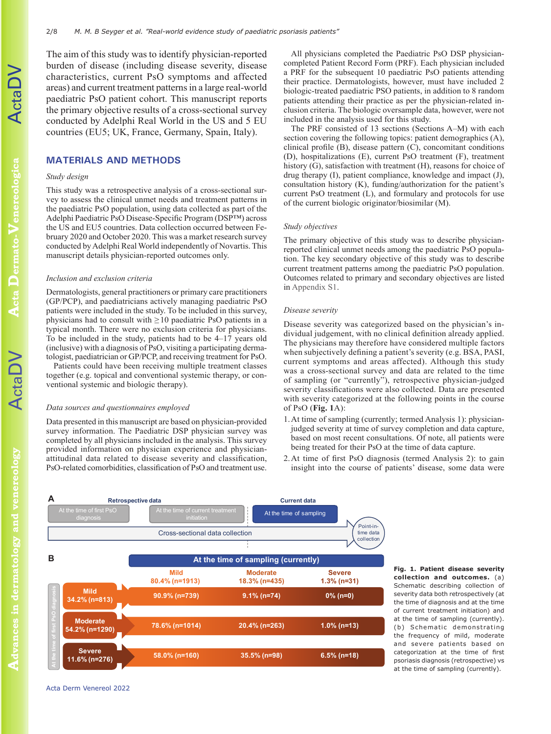The aim of this study was to identify physician-reported burden of disease (including disease severity, disease characteristics, current PsO symptoms and affected areas) and current treatment patterns in a large real-world paediatric PsO patient cohort. This manuscript reports the primary objective results of a cross-sectional survey conducted by Adelphi Real World in the US and 5 EU countries (EU5; UK, France, Germany, Spain, Italy).

# **MATERIALS AND METHODS**

## *Study design*

This study was a retrospective analysis of a cross-sectional survey to assess the clinical unmet needs and treatment patterns in the paediatric PsO population, using data collected as part of the Adelphi Paediatric PsO Disease-Specific Program (DSP™) across the US and EU5 countries. Data collection occurred between February 2020 and October 2020. This was a market research survey conducted by Adelphi Real World independently of Novartis. This manuscript details physician-reported outcomes only.

#### *Inclusion and exclusion criteria*

Dermatologists, general practitioners or primary care practitioners (GP/PCP), and paediatricians actively managing paediatric PsO patients were included in the study. To be included in this survey, physicians had to consult with  $\geq 10$  paediatric PsO patients in a typical month. There were no exclusion criteria for physicians. To be included in the study, patients had to be  $4-17$  years old (inclusive) with a diagnosis of PsO, visiting a participating dermatologist, paediatrician or GP/PCP, and receiving treatment for PsO.

Patients could have been receiving multiple treatment classes together (e.g. topical and conventional systemic therapy, or conventional systemic and biologic therapy).

#### *Data sources and questionnaires employed*

Data presented in this manuscript are based on physician-provided survey information. The Paediatric DSP physician survey was completed by all physicians included in the analysis. This survey provided information on physician experience and physicianattitudinal data related to disease severity and classification, PsO-related comorbidities, classification of PsO and treatment use.

All physicians completed the Paediatric PsO DSP physiciancompleted Patient Record Form (PRF). Each physician included a PRF for the subsequent 10 paediatric PsO patients attending their practice. Dermatologists, however, must have included 2 biologic-treated paediatric PSO patients, in addition to 8 random patients attending their practice as per the physician-related inclusion criteria. The biologic oversample data, however, were not included in the analysis used for this study.

The PRF consisted of 13 sections (Sections A–M) with each section covering the following topics: patient demographics (A), clinical profile (B), disease pattern (C), concomitant conditions (D), hospitalizations (E), current PsO treatment (F), treatment history (G), satisfaction with treatment (H), reasons for choice of drug therapy (I), patient compliance, knowledge and impact (J), consultation history (K), funding/authorization for the patient's current PsO treatment (L), and formulary and protocols for use of the current biologic originator/biosimilar (M).

#### *Study objectives*

The primary objective of this study was to describe physicianreported clinical unmet needs among the paediatric PsO population. The key secondary objective of this study was to describe current treatment patterns among the paediatric PsO population. Outcomes related to primary and secondary objectives are listed in [Appendix S1](https://doi.org/10.2340/actadv.v101.981).

#### *Disease severity*

Disease severity was categorized based on the physician's individual judgement, with no clinical definition already applied. The physicians may therefore have considered multiple factors when subjectively defining a patient's severity (e.g. BSA, PASI, current symptoms and areas affected). Although this study was a cross-sectional survey and data are related to the time of sampling (or "currently"), retrospective physician-judged severity classifications were also collected. Data are presented with severity categorized at the following points in the course of PsO (**Fig. 1**A):

- 1.At time of sampling (currently; termed Analysis 1): physicianjudged severity at time of survey completion and data capture, based on most recent consultations. Of note, all patients were being treated for their PsO at the time of data capture.
- 2.At time of first PsO diagnosis (termed Analysis 2): to gain insight into the course of patients' disease, some data were



**Fig. 1. Patient disease severity collection and outcomes.** (a) Schematic describing collection of severity data both retrospectively (at the time of diagnosis and at the time of current treatment initiation) and at the time of sampling (currently). (b) Schematic demonstrating the frequency of mild, moderate and severe patients based on categorization at the time of first psoriasis diagnosis (retrospective) vs at the time of sampling (currently).

[Acta Derm Venereol 2022](http://medicaljournalssweden.se/actadv)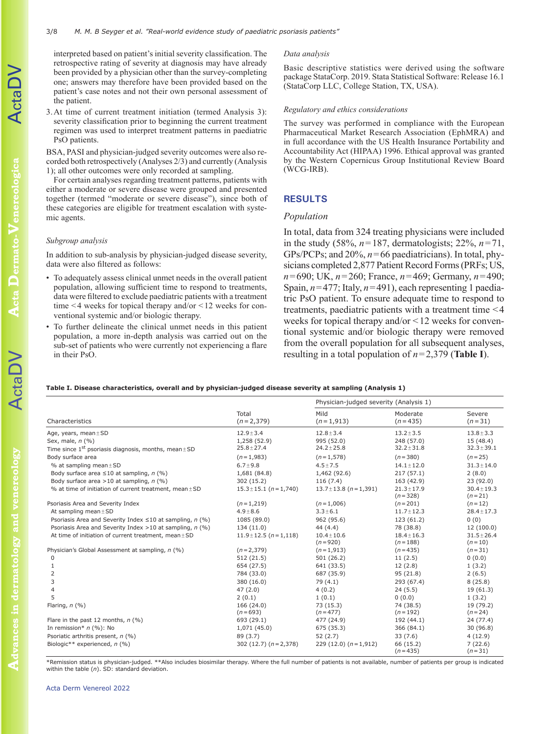interpreted based on patient's initial severity classification. The retrospective rating of severity at diagnosis may have already been provided by a physician other than the survey-completing one; answers may therefore have been provided based on the patient's case notes and not their own personal assessment of the patient.

3.At time of current treatment initiation (termed Analysis 3): severity classification prior to beginning the current treatment regimen was used to interpret treatment patterns in paediatric PsO patients.

BSA, PASI and physician-judged severity outcomes were also recorded both retrospectively (Analyses 2/3) and currently (Analysis 1); all other outcomes were only recorded at sampling.

For certain analyses regarding treatment patterns, patients with either a moderate or severe disease were grouped and presented together (termed "moderate or severe disease"), since both of these categories are eligible for treatment escalation with systemic agents.

## *Subgroup analysis*

In addition to sub-analysis by physician-judged disease severity, data were also filtered as follows:

- To adequately assess clinical unmet needs in the overall patient population, allowing sufficient time to respond to treatments, data were filtered to exclude paediatric patients with a treatment time  $\leq$ 4 weeks for topical therapy and/or  $\leq$  12 weeks for conventional systemic and/or biologic therapy.
- To further delineate the clinical unmet needs in this patient population, a more in-depth analysis was carried out on the sub-set of patients who were currently not experiencing a flare in their PsO.

#### *Data analysis*

Basic descriptive statistics were derived using the software package StataCorp. 2019. Stata Statistical Software: Release 16.1 (StataCorp LLC, College Station, TX, USA).

### *Regulatory and ethics considerations*

The survey was performed in compliance with the European Pharmaceutical Market Research Association (EphMRA) and in full accordance with the US Health Insurance Portability and Accountability Act (HIPAA) 1996. Ethical approval was granted by the Western Copernicus Group Institutional Review Board (WCG-IRB).

# **RESULTS**

## *Population*

In total, data from 324 treating physicians were included in the study (58%, *n*=187, dermatologists; 22%, *n*=71, GPs/PCPs; and 20%, *n*=66 paediatricians). In total, physicians completed 2,877 Patient Record Forms (PRFs; US, *n*=690; UK, *n*=260; France, *n*=469; Germany, *n*=490; Spain,  $n=477$ ; Italy,  $n=491$ ), each representing 1 paediatric PsO patient. To ensure adequate time to respond to treatments, paediatric patients with a treatment time <4 weeks for topical therapy and/or <12 weeks for conventional systemic and/or biologic therapy were removed from the overall population for all subsequent analyses, resulting in a total population of *n*=2,379 (**Table I**).

#### **Table I. Disease characteristics, overall and by physician-judged disease severity at sampling (Analysis 1)**

| Characteristics                                                | Total<br>$(n=2,379)$        | Physician-judged severity (Analysis 1) |                              |                             |
|----------------------------------------------------------------|-----------------------------|----------------------------------------|------------------------------|-----------------------------|
|                                                                |                             | Mild<br>$(n=1,913)$                    | Moderate<br>$(n=435)$        | Severe<br>$(n=31)$          |
| Age, years, mean $\pm$ SD                                      | $12.9 \pm 3.4$              | $12.8 \pm 3.4$                         | $13.2 \pm 3.5$               | $13.8 \pm 3.3$              |
| Sex, male, n (%)                                               | 1,258 (52.9)                | 995 (52.0)                             | 248 (57.0)                   | 15(48.4)                    |
| Time since $1^{st}$ psoriasis diagnosis, months, mean $\pm$ SD | $25.8 \pm 27.4$             | $24.2 \pm 25.8$                        | $32.2 \pm 31.8$              | $32.3 \pm 39.1$             |
| Body surface area                                              | $(n=1,983)$                 | $(n=1,578)$                            | $(n = 380)$                  | $(n=25)$                    |
| % at sampling mean $\pm$ SD                                    | $6.7 + 9.8$                 | $4.5 \pm 7.5$                          | $14.1 \pm 12.0$              | $31.3 \pm 14.0$             |
| Body surface area $\leq 10$ at sampling, n (%)                 | 1,681 (84.8)                | 1,462 (92.6)                           | 217(57.1)                    | 2(8.0)                      |
| Body surface area >10 at sampling, $n$ (%)                     | 302 (15.2)                  | 116(7.4)                               | 163 (42.9)                   | 23(92.0)                    |
| % at time of initiation of current treatment, mean $\pm$ SD    | $15.3 \pm 15.1$ (n = 1,740) | $13.7 \pm 13.8$ (n = 1,391)            | $21.3 \pm 17.9$<br>$(n=328)$ | $30.4 \pm 19.3$<br>$(n=21)$ |
| Psoriasis Area and Severity Index                              | $(n=1,219)$                 | $(n=1,006)$                            | $(n=201)$                    | $(n=12)$                    |
| At sampling mean $\pm$ SD                                      | $4.9 + 8.6$                 | $3.3 \pm 6.1$                          | $11.7 \pm 12.3$              | $28.4 \pm 17.3$             |
| Psoriasis Area and Severity Index $\leq 10$ at sampling, n (%) | 1085 (89.0)                 | 962 (95.6)                             | 123 (61.2)                   | 0(0)                        |
| Psoriasis Area and Severity Index > 10 at sampling, $n$ (%)    | 134 (11.0)                  | 44 (4.4)                               | 78 (38.8)                    | 12(100.0)                   |
| At time of initiation of current treatment, mean ± SD          | $11.9 \pm 12.5$ (n = 1,118) | $10.4 \pm 10.6$<br>$(n = 920)$         | $18.4 \pm 16.3$<br>$(n=188)$ | $31.5 \pm 26.4$<br>$(n=10)$ |
| Physician's Global Assessment at sampling, n (%)               | $(n=2,379)$                 | $(n=1,913)$                            | $(n=435)$                    | $(n=31)$                    |
| 0                                                              | 512(21.5)                   | 501 (26.2)                             | 11(2.5)                      | 0(0.0)                      |
|                                                                | 654 (27.5)                  | 641 (33.5)                             | 12(2.8)                      | 1(3.2)                      |
| 2                                                              | 784 (33.0)                  | 687 (35.9)                             | 95(21.8)                     | 2(6.5)                      |
| 3                                                              | 380 (16.0)                  | 79 (4.1)                               | 293 (67.4)                   | 8(25.8)                     |
|                                                                | 47(2.0)                     | 4(0.2)                                 | 24(5.5)                      | 19 (61.3)                   |
| 5                                                              | 2(0.1)                      | 1(0.1)                                 | 0(0.0)                       | 1(3.2)                      |
| Flaring, $n$ (%)                                               | 166 (24.0)<br>$(n=693)$     | 73 (15.3)<br>$(n=477)$                 | 74 (38.5)<br>$(n = 192)$     | 19 (79.2)<br>$(n=24)$       |
| Flare in the past 12 months, $n$ (%)                           | 693 (29.1)                  | 477 (24.9)                             | 192 (44.1)                   | 24 (77.4)                   |
| In remission* $n$ (%): No                                      | 1,071 (45.0)                | 675 (35.3)                             | 366 (84.1)                   | 30(96.8)                    |
| Psoriatic arthritis present, n (%)                             | 89 (3.7)                    | 52(2.7)                                | 33(7.6)                      | 4(12.9)                     |
| Biologic** experienced, n (%)                                  | $302(12.7)(n=2,378)$        | $229(12.0)(n=1,912)$                   | 66 (15.2)<br>$(n=435)$       | 7(22.6)<br>$(n=31)$         |

\*Remission status is physician-judged. \*\*Also includes biosimilar therapy. Where the full number of patients is not available, number of patients per group is indicated within the table (*n*). SD: standard deviation.

**Advances in dermatology and venereology**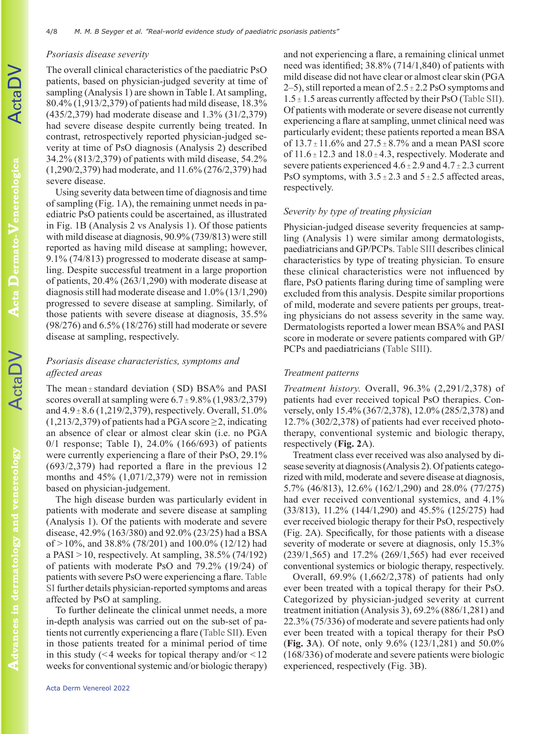## *Psoriasis disease severity*

The overall clinical characteristics of the paediatric PsO patients, based on physician-judged severity at time of sampling (Analysis 1) are shown in Table I. At sampling, 80.4% (1,913/2,379) of patients had mild disease, 18.3% (435/2,379) had moderate disease and 1.3% (31/2,379) had severe disease despite currently being treated. In contrast, retrospectively reported physician-judged severity at time of PsO diagnosis (Analysis 2) described 34.2% (813/2,379) of patients with mild disease, 54.2% (1,290/2,379) had moderate, and 11.6% (276/2,379) had severe disease.

Using severity data between time of diagnosis and time of sampling (Fig. 1A), the remaining unmet needs in paediatric PsO patients could be ascertained, as illustrated in Fig. 1B (Analysis 2 vs Analysis 1). Of those patients with mild disease at diagnosis, 90.9% (739/813) were still reported as having mild disease at sampling; however, 9.1% (74/813) progressed to moderate disease at sampling. Despite successful treatment in a large proportion of patients, 20.4% (263/1,290) with moderate disease at diagnosis still had moderate disease and 1.0% (13/1,290) progressed to severe disease at sampling. Similarly, of those patients with severe disease at diagnosis, 35.5% (98/276) and 6.5% (18/276) still had moderate or severe disease at sampling, respectively.

# *Psoriasis disease characteristics, symptoms and affected areas*

The mean  $\pm$  standard deviation (SD) BSA% and PASI scores overall at sampling were  $6.7 \pm 9.8\%$  (1,983/2,379) and  $4.9 \pm 8.6$  (1,219/2,379), respectively. Overall, 51.0%  $(1,213/2,379)$  of patients had a PGA score  $\geq$ 2, indicating an absence of clear or almost clear skin (i.e. no PGA 0/1 response; Table I), 24.0% (166/693) of patients were currently experiencing a flare of their PsO, 29.1% (693/2,379) had reported a flare in the previous 12 months and 45% (1,071/2,379) were not in remission based on physician-judgement.

The high disease burden was particularly evident in patients with moderate and severe disease at sampling (Analysis 1). Of the patients with moderate and severe disease, 42.9% (163/380) and 92.0% (23/25) had a BSA of >10%, and 38.8% (78/201) and 100.0% (12/12) had a PASI  $>10$ , respectively. At sampling, 38.5% (74/192) of patients with moderate PsO and 79.2% (19/24) of patients with severe PsO were experiencing a flare. [Table](https://doi.org/10.2340/actadv.v101.981)  [SI](https://doi.org/10.2340/actadv.v101.981) further details physician-reported symptoms and areas affected by PsO at sampling.

To further delineate the clinical unmet needs, a more in-depth analysis was carried out on the sub-set of patients not currently experiencing a flare ([Table SII](https://doi.org/10.2340/actadv.v101.981)). Even in those patients treated for a minimal period of time in this study ( $\leq 4$  weeks for topical therapy and/or  $\leq 12$ ) weeks for conventional systemic and/or biologic therapy)

and not experiencing a flare, a remaining clinical unmet need was identified; 38.8% (714/1,840) of patients with mild disease did not have clear or almost clear skin (PGA 2–5), still reported a mean of  $2.5 \pm 2.2$  PsO symptoms and  $1.5 \pm 1.5$  areas currently affected by their PsO [\(Table SII\)](https://doi.org/10.2340/actadv.v101.981). Of patients with moderate or severe disease not currently experiencing a flare at sampling, unmet clinical need was particularly evident; these patients reported a mean BSA of  $13.7 \pm 11.6\%$  and  $27.5 \pm 8.7\%$  and a mean PASI score of  $11.6 \pm 12.3$  and  $18.0 \pm 4.3$ , respectively. Moderate and severe patients experienced  $4.6 \pm 2.9$  and  $4.7 \pm 2.3$  current PsO symptoms, with  $3.5 \pm 2.3$  and  $5 \pm 2.5$  affected areas, respectively.

# *Severity by type of treating physician*

Physician-judged disease severity frequencies at sampling (Analysis 1) were similar among dermatologists, paediatricians and GP/PCPs. [Table SIII](https://doi.org/10.2340/actadv.v101.981) describes clinical characteristics by type of treating physician. To ensure these clinical characteristics were not influenced by flare, PsO patients flaring during time of sampling were excluded from this analysis. Despite similar proportions of mild, moderate and severe patients per groups, treating physicians do not assess severity in the same way. Dermatologists reported a lower mean BSA% and PASI score in moderate or severe patients compared with GP/ PCPs and paediatricians [\(Table SIII\)](https://doi.org/10.2340/actadv.v101.981).

## *Treatment patterns*

*Treatment history.* Overall, 96.3% (2,291/2,378) of patients had ever received topical PsO therapies. Conversely, only 15.4% (367/2,378), 12.0% (285/2,378) and 12.7% (302/2,378) of patients had ever received phototherapy, conventional systemic and biologic therapy, respectively (**Fig. 2**A).

Treatment class ever received was also analysed by disease severity at diagnosis (Analysis 2). Of patients categorized with mild, moderate and severe disease at diagnosis, 5.7% (46/813), 12.6% (162/1,290) and 28.0% (77/275) had ever received conventional systemics, and 4.1% (33/813), 11.2% (144/1,290) and 45.5% (125/275) had ever received biologic therapy for their PsO, respectively (Fig. 2A). Specifically, for those patients with a disease severity of moderate or severe at diagnosis, only 15.3% (239/1,565) and 17.2% (269/1,565) had ever received conventional systemics or biologic therapy, respectively.

Overall, 69.9% (1,662/2,378) of patients had only ever been treated with a topical therapy for their PsO. Categorized by physician-judged severity at current treatment initiation (Analysis 3), 69.2% (886/1,281) and 22.3% (75/336) of moderate and severe patients had only ever been treated with a topical therapy for their PsO (**Fig. 3**A). Of note, only 9.6% (123/1,281) and 50.0% (168/336) of moderate and severe patients were biologic experienced, respectively (Fig. 3B).

**Advances in dermatology and venereology**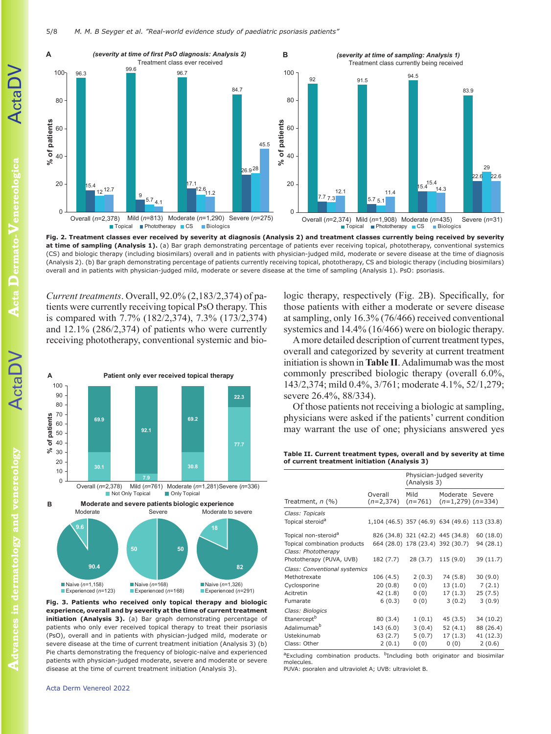

**Fig. 2. Treatment classes ever received by severity at diagnosis (Analysis 2) and treatment classes currently being received by severity at time of sampling (Analysis 1).** (a) Bar graph demonstrating percentage of patients ever receiving topical, phototherapy, conventional systemics (CS) and biologic therapy (including biosimilars) overall and in patients with physician-judged mild, moderate or severe disease at the time of diagnosis (Analysis 2). (b) Bar graph demonstrating percentage of patients currently receiving topical, phototherapy, CS and biologic therapy (including biosimilars) overall and in patients with physician-judged mild, moderate or severe disease at the time of sampling (Analysis 1). PsO: psoriasis.

*Current treatments*. Overall, 92.0% (2,183/2,374) of patients were currently receiving topical PsO therapy. This is compared with 7.7% (182/2,374), 7.3% (173/2,374) and 12.1% (286/2,374) of patients who were currently receiving phototherapy, conventional systemic and bio-



**Fig. 3. Patients who received only topical therapy and biologic experience, overall and by severity at the time of current treatment**  initiation (Analysis 3). (a) Bar graph demonstrating percentage of patients who only ever received topical therapy to treat their psoriasis (PsO), overall and in patients with physician-judged mild, moderate or severe disease at the time of current treatment initiation (Analysis 3) (b) Pie charts demonstrating the frequency of biologic-naïve and experienced patients with physician-judged moderate, severe and moderate or severe disease at the time of current treatment initiation (Analysis 3).

logic therapy, respectively (Fig. 2B). Specifically, for those patients with either a moderate or severe disease at sampling, only 16.3% (76/466) received conventional systemics and 14.4% (16/466) were on biologic therapy.

A more detailed description of current treatment types, overall and categorized by severity at current treatment initiation is shown in **Table II**. Adalimumab was the most commonly prescribed biologic therapy (overall 6.0%, 143/2,374; mild 0.4%, 3/761; moderate 4.1%, 52/1,279; severe 26.4%, 88/334).

Of those patients not receiving a biologic at sampling, physicians were asked if the patients' current condition may warrant the use of one; physicians answered yes

**Table II. Current treatment types, overall and by severity at time of current treatment initiation (Analysis 3)**

|                                                     |                                               | Physician-judged severity<br>(Analysis 3) |                                                    |           |
|-----------------------------------------------------|-----------------------------------------------|-------------------------------------------|----------------------------------------------------|-----------|
| Treatment, $n$ (%)                                  | Overall<br>$(n=2,374)$                        | Mild                                      | Moderate Severe<br>$(n=761)$ $(n=1,279)$ $(n=334)$ |           |
| Class: Topicals                                     |                                               |                                           |                                                    |           |
| Topical steroid <sup>a</sup>                        | 1,104 (46.5) 357 (46.9) 634 (49.6) 113 (33.8) |                                           |                                                    |           |
| Topical non-steroid <sup>a</sup>                    |                                               |                                           | 826 (34.8) 321 (42.2) 445 (34.8)                   | 60(18.0)  |
| Topical combination products<br>Class: Phototherapy |                                               |                                           | 664 (28.0) 178 (23.4) 392 (30.7)                   | 94 (28.1) |
| Phototherapy (PUVA, UVB)                            | 182 (7.7)                                     | 28 (3.7)                                  | 115 (9.0)                                          | 39 (11.7) |
| Class: Conventional systemics                       |                                               |                                           |                                                    |           |
| Methotrexate                                        | 106 (4.5)                                     | 2(0.3)                                    | 74 (5.8)                                           | 30(9.0)   |
| Cyclosporine                                        | 20(0.8)                                       | 0(0)                                      | 13(1.0)                                            | 7(2.1)    |
| Acitretin                                           | 42 (1.8)                                      | 0(0)                                      | 17 (1.3)                                           | 25(7.5)   |
| Fumarate                                            | 6(0.3)                                        | 0(0)                                      | 3(0.2)                                             | 3(0.9)    |
| Class: Biologics                                    |                                               |                                           |                                                    |           |
| Etanercept <sup>b</sup>                             | 80 (3.4)                                      | 1(0.1)                                    | 45 (3.5)                                           | 34 (10.2) |
| Adalimumab <sup>b</sup>                             | 143 (6.0)                                     | 3(0.4)                                    | 52 (4.1)                                           | 88 (26.4) |
| Ustekinumab                                         | 63 (2.7)                                      | 5(0.7)                                    | 17 (1.3)                                           | 41 (12.3) |
| Class: Other                                        | 2(0.1)                                        | 0(0)                                      | 0(0)                                               | 2(0.6)    |
|                                                     |                                               |                                           |                                                    |           |

<sup>a</sup>Excluding combination products. <sup>b</sup>Including both originator and biosimilar molecules.

PUVA: psoralen and ultraviolet A; UVB: ultraviolet B.

**Advances in dermatology and venereology**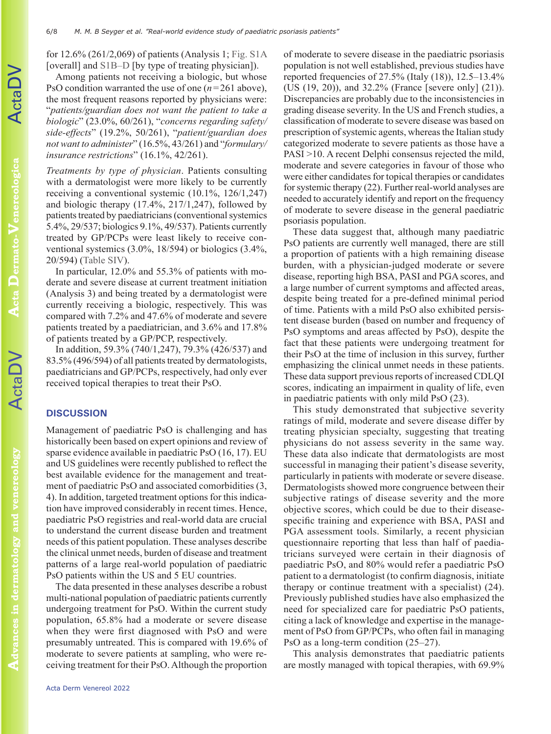for 12.6% (261/2,069) of patients (Analysis 1; [Fig. S1A](https://doi.org/10.2340/actadv.v101.981) [overall] and [S1B–D](https://doi.org/10.2340/actadv.v101.981) [by type of treating physician]).

Among patients not receiving a biologic, but whose PsO condition warranted the use of one (*n*=261 above), the most frequent reasons reported by physicians were: "*patients/guardian does not want the patient to take a biologic*" (23.0%, 60/261), "*concerns regarding safety/ side-effects*" (19.2%, 50/261), "*patient/guardian does not want to administer*" (16.5%, 43/261) and "*formulary/ insurance restrictions*" (16.1%, 42/261).

*Treatments by type of physician*. Patients consulting with a dermatologist were more likely to be currently receiving a conventional systemic (10.1%, 126/1,247) and biologic therapy (17.4%, 217/1,247), followed by patients treated by paediatricians (conventional systemics 5.4%, 29/537; biologics 9.1%, 49/537). Patients currently treated by GP/PCPs were least likely to receive conventional systemics (3.0%, 18/594) or biologics (3.4%, 20/594) ([Table SIV\)](https://doi.org/10.2340/actadv.v101.981).

In particular, 12.0% and 55.3% of patients with moderate and severe disease at current treatment initiation (Analysis 3) and being treated by a dermatologist were currently receiving a biologic, respectively. This was compared with 7.2% and 47.6% of moderate and severe patients treated by a paediatrician, and 3.6% and 17.8% of patients treated by a GP/PCP, respectively.

In addition, 59.3% (740/1,247), 79.3% (426/537) and 83.5% (496/594) of all patients treated by dermatologists, paediatricians and GP/PCPs, respectively, had only ever received topical therapies to treat their PsO.

# **DISCUSSION**

Management of paediatric PsO is challenging and has historically been based on expert opinions and review of sparse evidence available in paediatric PsO (16, 17). EU and US guidelines were recently published to reflect the best available evidence for the management and treatment of paediatric PsO and associated comorbidities (3, 4). In addition, targeted treatment options for this indication have improved considerably in recent times. Hence, paediatric PsO registries and real-world data are crucial to understand the current disease burden and treatment needs of this patient population. These analyses describe the clinical unmet needs, burden of disease and treatment patterns of a large real-world population of paediatric PsO patients within the US and 5 EU countries.

The data presented in these analyses describe a robust multi-national population of paediatric patients currently undergoing treatment for PsO. Within the current study population, 65.8% had a moderate or severe disease when they were first diagnosed with PsO and were presumably untreated. This is compared with 19.6% of moderate to severe patients at sampling, who were receiving treatment for their PsO. Although the proportion

of moderate to severe disease in the paediatric psoriasis population is not well established, previous studies have reported frequencies of 27.5% (Italy (18)), 12.5–13.4% (US (19, 20)), and 32.2% (France [severe only] (21)). Discrepancies are probably due to the inconsistencies in grading disease severity. In the US and French studies, a classification of moderate to severe disease was based on prescription of systemic agents, whereas the Italian study categorized moderate to severe patients as those have a PASI >10. A recent Delphi consensus rejected the mild, moderate and severe categories in favour of those who were either candidates for topical therapies or candidates for systemic therapy (22). Further real-world analyses are needed to accurately identify and report on the frequency of moderate to severe disease in the general paediatric psoriasis population.

These data suggest that, although many paediatric PsO patients are currently well managed, there are still a proportion of patients with a high remaining disease burden, with a physician-judged moderate or severe disease, reporting high BSA, PASI and PGA scores, and a large number of current symptoms and affected areas, despite being treated for a pre-defined minimal period of time. Patients with a mild PsO also exhibited persistent disease burden (based on number and frequency of PsO symptoms and areas affected by PsO), despite the fact that these patients were undergoing treatment for their PsO at the time of inclusion in this survey, further emphasizing the clinical unmet needs in these patients. These data support previous reports of increased CDLQI scores, indicating an impairment in quality of life, even in paediatric patients with only mild PsO (23).

This study demonstrated that subjective severity ratings of mild, moderate and severe disease differ by treating physician specialty, suggesting that treating physicians do not assess severity in the same way. These data also indicate that dermatologists are most successful in managing their patient's disease severity, particularly in patients with moderate or severe disease. Dermatologists showed more congruence between their subjective ratings of disease severity and the more objective scores, which could be due to their diseasespecific training and experience with BSA, PASI and PGA assessment tools. Similarly, a recent physician questionnaire reporting that less than half of paediatricians surveyed were certain in their diagnosis of paediatric PsO, and 80% would refer a paediatric PsO patient to a dermatologist (to confirm diagnosis, initiate therapy or continue treatment with a specialist) (24). Previously published studies have also emphasized the need for specialized care for paediatric PsO patients, citing a lack of knowledge and expertise in the management of PsO from GP/PCPs, who often fail in managing PsO as a long-term condition (25–27).

This analysis demonstrates that paediatric patients are mostly managed with topical therapies, with 69.9%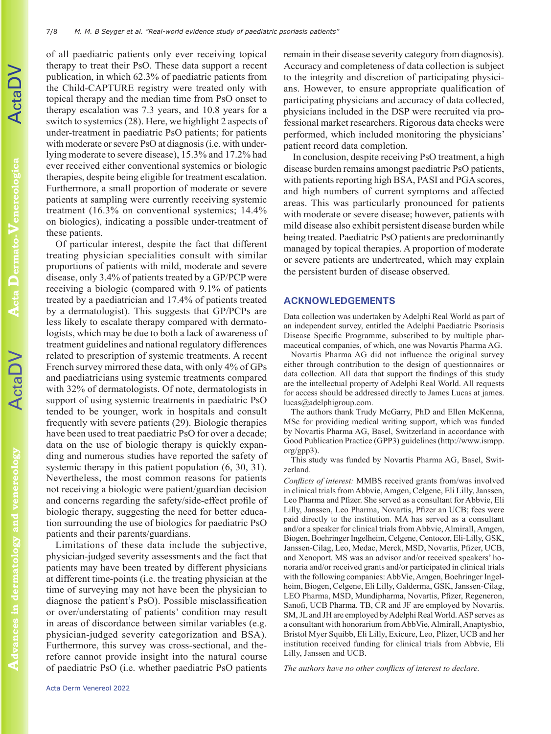of all paediatric patients only ever receiving topical therapy to treat their PsO. These data support a recent publication, in which 62.3% of paediatric patients from the Child-CAPTURE registry were treated only with topical therapy and the median time from PsO onset to therapy escalation was 7.3 years, and 10.8 years for a switch to systemics (28). Here, we highlight 2 aspects of under-treatment in paediatric PsO patients; for patients with moderate or severe PsO at diagnosis *(i.e. with under*lying moderate to severe disease), 15.3% and 17.2% had ever received either conventional systemics or biologic therapies, despite being eligible for treatment escalation. Furthermore, a small proportion of moderate or severe patients at sampling were currently receiving systemic treatment (16.3% on conventional systemics; 14.4% on biologics), indicating a possible under-treatment of these patients.

Of particular interest, despite the fact that different treating physician specialities consult with similar proportions of patients with mild, moderate and severe disease, only 3.4% of patients treated by a GP/PCP were receiving a biologic (compared with 9.1% of patients treated by a paediatrician and 17.4% of patients treated by a dermatologist). This suggests that GP/PCPs are less likely to escalate therapy compared with dermatologists, which may be due to both a lack of awareness of treatment guidelines and national regulatory differences related to prescription of systemic treatments. A recent French survey mirrored these data, with only 4% of GPs and paediatricians using systemic treatments compared with 32% of dermatologists. Of note, dermatologists in support of using systemic treatments in paediatric PsO tended to be younger, work in hospitals and consult frequently with severe patients (29). Biologic therapies have been used to treat paediatric PsO for over a decade; data on the use of biologic therapy is quickly expanding and numerous studies have reported the safety of systemic therapy in this patient population  $(6, 30, 31)$ . Nevertheless, the most common reasons for patients not receiving a biologic were patient/guardian decision and concerns regarding the safety/side-effect profile of biologic therapy, suggesting the need for better education surrounding the use of biologics for paediatric PsO patients and their parents/guardians.

Limitations of these data include the subjective, physician-judged severity assessments and the fact that patients may have been treated by different physicians at different time-points (i.e. the treating physician at the time of surveying may not have been the physician to diagnose the patient's PsO). Possible misclassification or over/understating of patients' condition may result in areas of discordance between similar variables (e.g. physician-judged severity categorization and BSA). Furthermore, this survey was cross-sectional, and therefore cannot provide insight into the natural course of paediatric PsO (i.e. whether paediatric PsO patients remain in their disease severity category from diagnosis). Accuracy and completeness of data collection is subject to the integrity and discretion of participating physicians. However, to ensure appropriate qualification of participating physicians and accuracy of data collected, physicians included in the DSP were recruited via professional market researchers. Rigorous data checks were performed, which included monitoring the physicians' patient record data completion.

In conclusion, despite receiving PsO treatment, a high disease burden remains amongst paediatric PsO patients, with patients reporting high BSA, PASI and PGA scores, and high numbers of current symptoms and affected areas. This was particularly pronounced for patients with moderate or severe disease; however, patients with mild disease also exhibit persistent disease burden while being treated. Paediatric PsO patients are predominantly managed by topical therapies. A proportion of moderate or severe patients are undertreated, which may explain the persistent burden of disease observed.

## **ACKNOWLEDGEMENTS**

Data collection was undertaken by Adelphi Real World as part of an independent survey, entitled the Adelphi Paediatric Psoriasis Disease Specific Programme, subscribed to by multiple pharmaceutical companies, of which, one was Novartis Pharma AG.

Novartis Pharma AG did not influence the original survey either through contribution to the design of questionnaires or data collection. All data that support the findings of this study are the intellectual property of Adelphi Real World. All requests for access should be addressed directly to James Lucas at james. lucas@adelphigroup.com.

The authors thank Trudy McGarry, PhD and Ellen McKenna, MSc for providing medical writing support, which was funded by Novartis Pharma AG, Basel, Switzerland in accordance with Good Publication Practice (GPP3) guidelines (http://www.ismpp. org/gpp3).

This study was funded by Novartis Pharma AG, Basel, Switzerland.

*Conflicts of interest:* MMBS received grants from/was involved in clinical trials from Abbvie, Amgen, Celgene, Eli Lilly, Janssen, Leo Pharma and Pfizer. She served as a consultant for Abbvie, Eli Lilly, Janssen, Leo Pharma, Novartis, Pfizer an UCB; fees were paid directly to the institution. MA has served as a consultant and/or a speaker for clinical trials from Abbvie, Almirall, Amgen, Biogen, Boehringer Ingelheim, Celgene, Centocor, Eli-Lilly, GSK, Janssen-Cilag, Leo, Medac, Merck, MSD, Novartis, Pfizer, UCB, and Xenoport. MS was an advisor and/or received speakers' honoraria and/or received grants and/or participated in clinical trials with the following companies: AbbVie, Amgen, Boehringer Ingelheim, Biogen, Celgene, Eli Lilly, Galderma, GSK, Janssen-Cilag, LEO Pharma, MSD, Mundipharma, Novartis, Pfizer, Regeneron, Sanofi, UCB Pharma. TB, CR and JF are employed by Novartis. SM, JL and JH are employed by Adelphi Real World. ASP serves as a consultant with honorarium from AbbVie, Almirall, Anaptysbio, Bristol Myer Squibb, Eli Lilly, Exicure, Leo, Pfizer, UCB and her institution received funding for clinical trials from Abbvie, Eli Lilly, Janssen and UCB.

*The authors have no other conflicts of interest to declare.*

**Advances in dermatology and venereology**